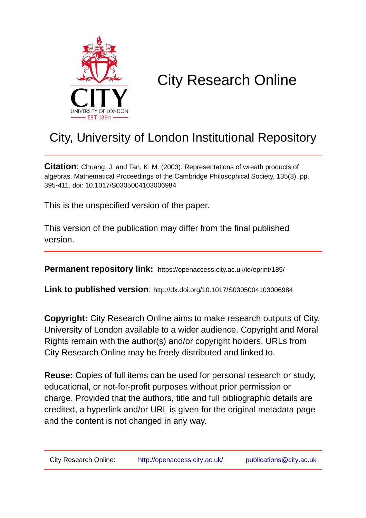

# City Research Online

## City, University of London Institutional Repository

**Citation**: Chuang, J. and Tan, K. M. (2003). Representations of wreath products of algebras. Mathematical Proceedings of the Cambridge Philosophical Society, 135(3), pp. 395-411. doi: 10.1017/S0305004103006984

This is the unspecified version of the paper.

This version of the publication may differ from the final published version.

**Permanent repository link:** https://openaccess.city.ac.uk/id/eprint/185/

**Link to published version**: http://dx.doi.org/10.1017/S0305004103006984

**Copyright:** City Research Online aims to make research outputs of City, University of London available to a wider audience. Copyright and Moral Rights remain with the author(s) and/or copyright holders. URLs from City Research Online may be freely distributed and linked to.

**Reuse:** Copies of full items can be used for personal research or study, educational, or not-for-profit purposes without prior permission or charge. Provided that the authors, title and full bibliographic details are credited, a hyperlink and/or URL is given for the original metadata page and the content is not changed in any way.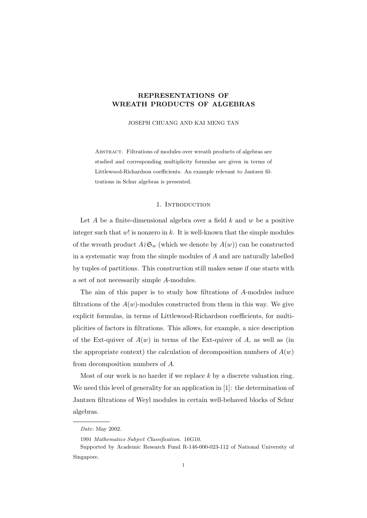### REPRESENTATIONS OF WREATH PRODUCTS OF ALGEBRAS

JOSEPH CHUANG AND KAI MENG TAN

ABSTRACT. Filtrations of modules over wreath products of algebras are studied and corresponding multiplicity formulas are given in terms of Littlewood-Richardson coefficients. An example relevant to Jantzen filtrations in Schur algebras is presented.

#### 1. INTRODUCTION

Let  $A$  be a finite-dimensional algebra over a field  $k$  and  $w$  be a positive integer such that  $w!$  is nonzero in k. It is well-known that the simple modules of the wreath product  $A \wr \mathfrak{S}_w$  (which we denote by  $A(w)$ ) can be constructed in a systematic way from the simple modules of A and are naturally labelled by tuples of partitions. This construction still makes sense if one starts with a set of not necessarily simple A-modules.

The aim of this paper is to study how filtrations of A-modules induce filtrations of the  $A(w)$ -modules constructed from them in this way. We give explicit formulas, in terms of Littlewood-Richardson coefficients, for multiplicities of factors in filtrations. This allows, for example, a nice description of the Ext-quiver of  $A(w)$  in terms of the Ext-quiver of A, as well as (in the appropriate context) the calculation of decomposition numbers of  $A(w)$ from decomposition numbers of A.

Most of our work is no harder if we replace  $k$  by a discrete valuation ring. We need this level of generality for an application in [1]: the determination of Jantzen filtrations of Weyl modules in certain well-behaved blocks of Schur algebras.

Date: May 2002.

<sup>1991</sup> Mathematics Subject Classification. 16G10.

Supported by Academic Research Fund R-146-000-023-112 of National University of Singapore.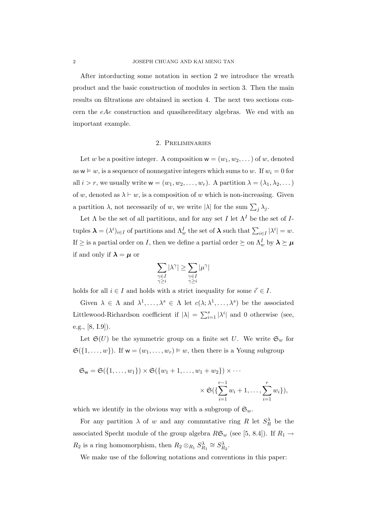After intorducting some notation in section 2 we introduce the wreath product and the basic construction of modules in section 3. Then the main results on filtrations are obtained in section 4. The next two sections concern the eAe construction and quasihereditary algebras. We end with an important example.

#### 2. Preliminaries

Let w be a positive integer. A composition  $w = (w_1, w_2, \dots)$  of w, denoted as  $w \vDash w$ , is a sequence of nonnegative integers which sums to w. If  $w_i = 0$  for all  $i > r$ , we usually write  $\mathsf{w} = (w_1, w_2, \ldots, w_r)$ . A partition  $\lambda = (\lambda_1, \lambda_2, \ldots)$ of w, denoted as  $\lambda \vdash w$ , is a composition of w which is non-increasing. Given a partition  $\lambda$ , not necessarily of w, we write  $|\lambda|$  for the sum  $\sum_j \lambda_j$ .

Let  $\Lambda$  be the set of all partitions, and for any set I let  $\Lambda^I$  be the set of Ituples  $\boldsymbol{\lambda} = (\lambda^i)_{i \in I}$  of partitions and  $\Lambda_w^I$  the set of  $\boldsymbol{\lambda}$  such that  $\sum_{i \in I} |\lambda^i| = w$ . If  $\geq$  is a partial order on I, then we define a partial order  $\succeq$  on  $\Lambda_w^I$  by  $\lambda \succeq \mu$ if and only if  $\lambda = \mu$  or

$$
\sum_{\substack{\gamma \in I \\ \gamma \geq i}} |\lambda^\gamma| \geq \sum_{\substack{\gamma \in I \\ \gamma \geq i}} |\mu^\gamma|
$$

holds for all  $i \in I$  and holds with a strict inequality for some  $i' \in I$ .

Given  $\lambda \in \Lambda$  and  $\lambda^1, \ldots, \lambda^s \in \Lambda$  let  $c(\lambda; \lambda^1, \ldots, \lambda^s)$  be the associated Littlewood-Richardson coefficient if  $|\lambda| = \sum_{i=1}^{s} |\lambda^{i}|$  and 0 otherwise (see, e.g., [8, I.9]).

Let  $\mathfrak{S}(U)$  be the symmetric group on a finite set U. We write  $\mathfrak{S}_w$  for  $\mathfrak{S}(\{1,\ldots,w\})$ . If  $w=(w_1,\ldots,w_r)\models w$ , then there is a Young subgroup

$$
\mathfrak{S}_{w} = \mathfrak{S}(\{1, \ldots, w_{1}\}) \times \mathfrak{S}(\{w_{1} + 1, \ldots, w_{1} + w_{2}\}) \times \cdots
$$

$$
\times \mathfrak{S}(\{\sum_{i=1}^{r-1} w_{i} + 1, \ldots, \sum_{i=1}^{r} w_{i}\}),
$$

which we identify in the obvious way with a subgroup of  $\mathfrak{S}_w$ .

For any partition  $\lambda$  of w and any commutative ring R let  $S_R^{\lambda}$  be the associated Specht module of the group algebra  $R\mathfrak{S}_w$  (see [5, 8.4]). If  $R_1 \rightarrow$  $R_2$  is a ring homomorphism, then  $R_2 \otimes_{R_1} S_{R_1}^{\lambda} \cong S_{R_2}^{\lambda}$ .

We make use of the following notations and conventions in this paper: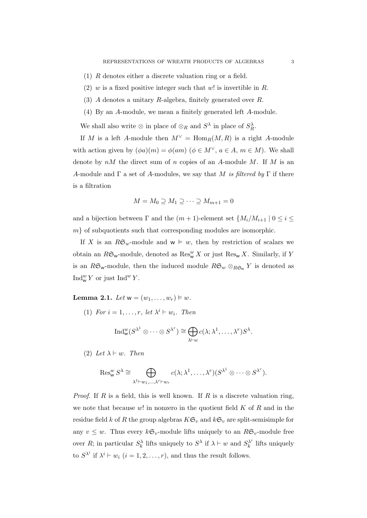- (1) R denotes either a discrete valuation ring or a field.
- (2) w is a fixed positive integer such that w! is invertible in R.
- (3) A denotes a unitary R-algebra, finitely generated over R.
- (4) By an A-module, we mean a finitely generated left A-module.

We shall also write  $\otimes$  in place of  $\otimes_R$  and  $S^{\lambda}$  in place of  $S_R^{\lambda}$ .

If M is a left A-module then  $M^{\vee} = \text{Hom}_R(M, R)$  is a right A-module with action given by  $(\phi a)(m) = \phi(am)$   $(\phi \in M^{\vee}, a \in A, m \in M)$ . We shall denote by  $nM$  the direct sum of n copies of an A-module M. If M is an A-module and  $\Gamma$  a set of A-modules, we say that M is filtered by  $\Gamma$  if there is a filtration

$$
M = M_0 \supseteq M_1 \supseteq \cdots \supseteq M_{m+1} = 0
$$

and a bijection between  $\Gamma$  and the  $(m + 1)$ -element set  $\{M_i/M_{i+1} \mid 0 \leq i \leq n\}$  $m$  of subquotients such that corresponding modules are isomorphic.

If X is an  $R\mathfrak{S}_w$ -module and  $w \vDash w$ , then by restriction of scalars we obtain an  $R\mathfrak{S}_w$ -module, denoted as  $\mathrm{Res}^w_W X$  or just  $\mathrm{Res}_w X$ . Similarly, if Y is an RG<sub>w</sub>-module, then the induced module  $R\mathfrak{S}_w \otimes_{R\mathfrak{S}_w} Y$  is denoted as  $\text{Ind}_{\mathsf{w}}^w Y$  or just  $\text{Ind}^w Y$ .

**Lemma 2.1.** Let  $w = (w_1, \ldots, w_r) \models w$ .

(1) For  $i = 1, \ldots, r$ , let  $\lambda^i \vdash w_i$ . Then

$$
\operatorname{Ind}_{\mathsf{w}}^w(S^{\lambda^1} \otimes \cdots \otimes S^{\lambda^r}) \cong \bigoplus_{\lambda \vdash w} c(\lambda; \lambda^1, \ldots, \lambda^r) S^{\lambda}.
$$

(2) Let  $\lambda \vdash w$ . Then

$$
\operatorname{Res}_{\mathsf{w}}^w S^{\lambda} \cong \bigoplus_{\lambda^1 \vdash w_1, \ldots, \lambda^r \vdash w_r} c(\lambda; \lambda^1, \ldots, \lambda^r) (S^{\lambda^1} \otimes \cdots \otimes S^{\lambda^r}).
$$

*Proof.* If R is a field, this is well known. If R is a discrete valuation ring, we note that because  $w!$  in nonzero in the quotient field  $K$  of  $R$  and in the residue field k of R the group algebras  $K\mathfrak{S}_v$  and  $k\mathfrak{S}_v$  are split-semisimple for any  $v \leq w$ . Thus every  $k\mathfrak{S}_v$ -module lifts uniquely to an  $R\mathfrak{S}_v$ -module free over R; in particular  $S_k^{\lambda}$  lifts uniquely to  $S^{\lambda}$  if  $\lambda \vdash w$  and  $S_k^{\lambda^i}$  $\lambda_k^{\lambda}$  lifts uniquely to  $S^{\lambda^i}$  if  $\lambda^i \vdash w_i$   $(i = 1, 2, \ldots, r)$ , and thus the result follows.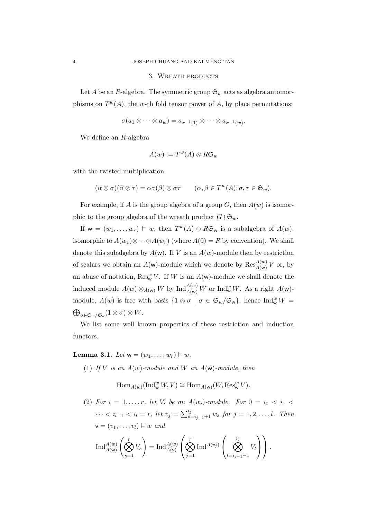#### 3. WREATH PRODUCTS

Let A be an R-algebra. The symmetric group  $\mathfrak{S}_w$  acts as algebra automorphisms on  $T^{w}(A)$ , the w-th fold tensor power of A, by place permutations:

$$
\sigma(a_1\otimes\cdots\otimes a_w)=a_{\sigma^{-1}(1)}\otimes\cdots\otimes a_{\sigma^{-1}(w)}.
$$

We define an R-algebra

$$
A(w) := T^w(A) \otimes R\mathfrak{S}_w
$$

with the twisted multiplication

$$
(\alpha \otimes \sigma)(\beta \otimes \tau) = \alpha \sigma(\beta) \otimes \sigma \tau \qquad (\alpha, \beta \in T^w(A); \sigma, \tau \in \mathfrak{S}_w).
$$

For example, if A is the group algebra of a group  $G$ , then  $A(w)$  is isomorphic to the group algebra of the wreath product  $G \wr \mathfrak{S}_w$ .

If  $w = (w_1, \ldots, w_r) \models w$ , then  $T^w(A) \otimes R\mathfrak{S}_w$  is a subalgebra of  $A(w)$ , isomorphic to  $A(w_1) \otimes \cdots \otimes A(w_r)$  (where  $A(0) = R$  by convention). We shall denote this subalgebra by  $A(w)$ . If V is an  $A(w)$ -module then by restriction of scalars we obtain an  $A(w)$ -module which we denote by  $\operatorname{Res}_{A(w)}^{A(w)}V$  or, by an abuse of notation,  $\text{Res}_{\mathsf{w}}^w V$ . If W is an  $A(\mathsf{w})$ -module we shall denote the induced module  $A(w) \otimes_{A(w)} W$  by  $\text{Ind}_{A(w)}^{A(w)} W$  or  $\text{Ind}_{w}^{w} W$ . As a right  $A(w)$ module,  $A(w)$  is free with basis  $\{1 \otimes \sigma \mid \sigma \in \mathfrak{S}_w/\mathfrak{S}_w\}$ ; hence  $\text{Ind}_{w}^w W =$  $\bigoplus_{\sigma\in\mathfrak{S}_w/\mathfrak{S}_\mathsf{w}}(1\otimes\sigma)\otimes W.$ 

We list some well known properties of these restriction and induction functors.

**Lemma 3.1.** Let  $w = (w_1, ..., w_r) \models w$ .

(1) If V is an  $A(w)$ -module and W an  $A(w)$ -module, then

 $\text{Hom}_{A(w)}(\text{Ind}_{\mathsf{w}}^w W, V) \cong \text{Hom}_{A(\mathsf{w})}(W, \text{Res}_{\mathsf{w}}^w V).$ 

(2) For  $i = 1, \ldots, r$ , let  $V_i$  be an  $A(w_i)$ -module. For  $0 = i_0 < i_1$  $\cdots < i_{l-1} < i_l = r$ , let  $v_j = \sum_{s=i_{j-1}+1}^{i_j} w_s$  for  $j = 1, 2, \ldots, l$ . Then  $\mathbf{v} = (v_1, \dots, v_l) \vDash w$  and  $\sqrt{ }$  $\begin{pmatrix} i_j & \mathbf{1} \end{pmatrix}$ 

$$
\operatorname{Ind}_{A(\mathsf{w})}^{A(w)} \left( \bigotimes_{s=1}^r V_s \right) = \operatorname{Ind}_{A(\mathsf{v})}^{A(w)} \left( \bigotimes_{j=1}^r \operatorname{Ind}^{A(v_j)} \left( \bigotimes_{t=i_{j-1}-1}^{i_j} V_t \right) \right).
$$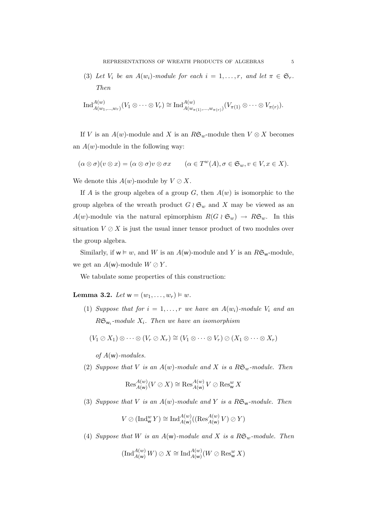(3) Let  $V_i$  be an  $A(w_i)$ -module for each  $i = 1, \ldots, r$ , and let  $\pi \in \mathfrak{S}_r$ . Then

$$
\operatorname{Ind}_{A(w_1,\ldots,w_r)}^{A(w)}(V_1\otimes\cdots\otimes V_r)\cong\operatorname{Ind}_{A(w_{\pi(1)},\ldots,w_{\pi(r)})}^{A(w)}(V_{\pi(1)}\otimes\cdots\otimes V_{\pi(r)}).
$$

If V is an  $A(w)$ -module and X is an  $R\mathfrak{S}_w$ -module then  $V \otimes X$  becomes an  $A(w)$ -module in the following way:

$$
(\alpha \otimes \sigma)(v \otimes x) = (\alpha \otimes \sigma)v \otimes \sigma x \qquad (\alpha \in T^w(A), \sigma \in \mathfrak{S}_w, v \in V, x \in X).
$$

We denote this  $A(w)$ -module by  $V \oslash X$ .

If A is the group algebra of a group G, then  $A(w)$  is isomorphic to the group algebra of the wreath product  $G \wr \mathfrak{S}_w$  and X may be viewed as an  $A(w)$ -module via the natural epimorphism  $R(G \wr \mathfrak{S}_w) \to R\mathfrak{S}_w$ . In this situation  $V \oslash X$  is just the usual inner tensor product of two modules over the group algebra.

Similarly, if  $w \models w$ , and W is an  $A(w)$ -module and Y is an  $R\mathfrak{S}_w$ -module, we get an  $A(w)$ -module  $W \oslash Y$ .

We tabulate some properties of this construction:

**Lemma 3.2.** Let  $w = (w_1, ..., w_r) \models w$ .

(1) Suppose that for  $i = 1, ..., r$  we have an  $A(w_i)$ -module  $V_i$  and an  $R\mathfrak{S}_{\mathsf{w}_i}\textrm{-module }X_i.$  Then we have an isomorphism

$$
(V_1 \oslash X_1) \otimes \cdots \otimes (V_r \oslash X_r) \cong (V_1 \otimes \cdots \otimes V_r) \oslash (X_1 \otimes \cdots \otimes X_r)
$$

of  $A(w)$ -modules.

(2) Suppose that V is an  $A(w)$ -module and X is a  $R\mathfrak{S}_w$ -module. Then

$$
\operatorname{Res}_{A(w)}^{A(w)}(V \oslash X) \cong \operatorname{Res}_{A(w)}^{A(w)} V \oslash \operatorname{Res}_{w}^{w} X
$$

(3) Suppose that V is an  $A(w)$ -module and Y is a  $R\mathfrak{S}_w$ -module. Then

$$
V \oslash (\operatorname{Ind}_{\mathsf{w}}^w Y) \cong \operatorname{Ind}_{A(\mathsf{w})}^{A(w)}((\operatorname{Res}_{A(\mathsf{w})}^{A(w)} V) \oslash Y)
$$

(4) Suppose that W is an  $A(w)$ -module and X is a  $R\mathfrak{S}_w$ -module. Then

$$
(\operatorname{Ind}_{A(\mathsf{w})}^{A(\mathsf{w})}W)\oslash X\cong \operatorname{Ind}_{A(\mathsf{w})}^{A(\mathsf{w})}(W\oslash \operatorname{Res}^{\mathsf{w}}_{\mathsf{w}}X)
$$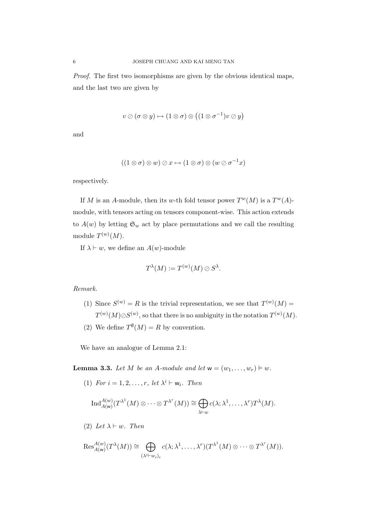Proof. The first two isomorphisms are given by the obvious identical maps, and the last two are given by

$$
v \oslash (\sigma \otimes y) \mapsto (1 \otimes \sigma) \otimes ((1 \otimes \sigma^{-1})v \oslash y)
$$

and

$$
((1 \otimes \sigma) \otimes w) \otimes x \mapsto (1 \otimes \sigma) \otimes (w \otimes \sigma^{-1}x)
$$

respectively.

If M is an A-module, then its w-th fold tensor power  $T^w(M)$  is a  $T^w(A)$ module, with tensors acting on tensors component-wise. This action extends to  $A(w)$  by letting  $\mathfrak{S}_w$  act by place permutations and we call the resulting module  $T^{(w)}(M)$ .

If  $\lambda \vdash w$ , we define an  $A(w)$ -module

$$
T^{\lambda}(M) := T^{(w)}(M) \oslash S^{\lambda}.
$$

Remark.

- (1) Since  $S^{(w)} = R$  is the trivial representation, we see that  $T^{(w)}(M) =$  $T^{(w)}(M)\oslash S^{(w)}, \text{ so that there is no ambiguity in the notation }T^{(w)}(M).$
- (2) We define  $T^{\emptyset}(M) = R$  by convention.

We have an analogue of Lemma 2.1:

**Lemma 3.3.** Let M be an A-module and let  $w = (w_1, \ldots, w_r) \models w$ .

(1) For  $i = 1, 2, ..., r$ , let  $\lambda^i \vdash w_i$ . Then

$$
\text{Ind}_{A(\mathsf{w})}^{A(\mathsf{w})}(T^{\lambda^1}(M)\otimes\cdots\otimes T^{\lambda^r}(M))\cong\bigoplus_{\lambda\vdash w}c(\lambda;\lambda^1,\ldots,\lambda^r)T^{\lambda}(M).
$$

(2) Let  $\lambda \vdash w$ . Then

$$
\operatorname{Res}_{A(\mathsf{w})}^{A(\mathsf{w})}(T^{\lambda}(M)) \cong \bigoplus_{(\lambda^{i} \vdash w_{i})_{i}} c(\lambda; \lambda^{1}, \ldots, \lambda^{r})(T^{\lambda^{1}}(M) \otimes \cdots \otimes T^{\lambda^{r}}(M)).
$$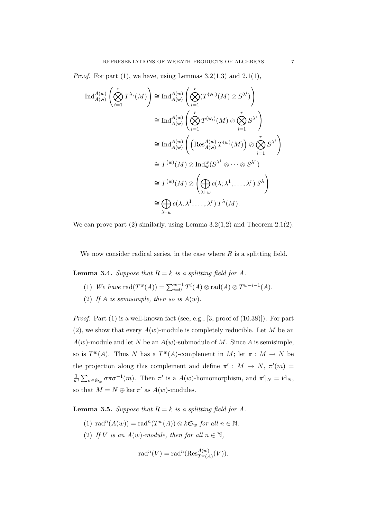*Proof.* For part  $(1)$ , we have, using Lemmas  $3.2(1,3)$  and  $2.1(1)$ ,

$$
\operatorname{Ind}_{A(\mathsf{w})}^{A(\mathsf{w})}\left(\bigotimes_{i=1}^{r} T^{\lambda_{i}}(M)\right) \cong \operatorname{Ind}_{A(\mathsf{w})}^{A(\mathsf{w})}\left(\bigotimes_{i=1}^{r} (T^{(\mathsf{w}_{i})}(M) \oslash S^{\lambda^{i}})\right)
$$
  
\n
$$
\cong \operatorname{Ind}_{A(\mathsf{w})}^{A(\mathsf{w})}\left(\bigotimes_{i=1}^{r} T^{(\mathsf{w}_{i})}(M) \oslash \bigotimes_{i=1}^{r} S^{\lambda^{i}}\right)
$$
  
\n
$$
\cong \operatorname{Ind}_{A(\mathsf{w})}^{A(\mathsf{w})}\left(\left(\operatorname{Res}_{A(\mathsf{w})}^{A(\mathsf{w})} T^{(\mathsf{w})}(M)\right) \oslash \bigotimes_{i=1}^{r} S^{\lambda^{i}}\right)
$$
  
\n
$$
\cong T^{(\mathsf{w})}(M) \oslash \operatorname{Ind}_{\mathsf{w}}^{\mathsf{w}}(S^{\lambda^{1}} \otimes \cdots \otimes S^{\lambda^{r}})
$$
  
\n
$$
\cong T^{(\mathsf{w})}(M) \oslash \left(\bigoplus_{\lambda \vdash \mathsf{w}} c(\lambda; \lambda^{1}, \ldots, \lambda^{r}) S^{\lambda}\right)
$$
  
\n
$$
\cong \bigoplus_{\lambda \vdash \mathsf{w}} c(\lambda; \lambda^{1}, \ldots, \lambda^{r}) T^{\lambda}(M).
$$

We can prove part  $(2)$  similarly, using Lemma 3.2(1,2) and Theorem 2.1(2).

We now consider radical series, in the case where  $R$  is a splitting field.

**Lemma 3.4.** Suppose that  $R = k$  is a splitting field for A.

- (1) We have  $\text{rad}(T^w(A)) = \sum_{i=0}^{w-1} T^i(A) \otimes \text{rad}(A) \otimes T^{w-i-1}(A)$ .
- (2) If A is semisimple, then so is  $A(w)$ .

*Proof.* Part  $(1)$  is a well-known fact (see, e.g., [3, proof of  $(10.38)$ ]). For part (2), we show that every  $A(w)$ -module is completely reducible. Let M be an  $A(w)$ -module and let N be an  $A(w)$ -submodule of M. Since A is semisimple, so is  $T^w(A)$ . Thus N has a  $T^w(A)$ -complement in M; let  $\pi : M \to N$  be the projection along this complement and define  $\pi' : M \to N$ ,  $\pi'(m) =$ 1  $\frac{1}{w!}\sum_{\sigma\in\mathfrak{S}_w} \sigma\pi\sigma^{-1}(m)$ . Then  $\pi'$  is a  $A(w)$ -homomorphism, and  $\pi'|_N = id_N$ , so that  $M = N \oplus \ker \pi'$  as  $A(w)$ -modules.

**Lemma 3.5.** Suppose that  $R = k$  is a splitting field for A.

- (1)  $\text{rad}^n(A(w)) = \text{rad}^n(T^w(A)) \otimes k\mathfrak{S}_w$  for all  $n \in \mathbb{N}$ .
- (2) If V is an  $A(w)$ -module, then for all  $n \in \mathbb{N}$ ,

$$
\mathrm{rad}^n(V) = \mathrm{rad}^n(\mathrm{Res}^{A(w)}_{T^w(A)}(V)).
$$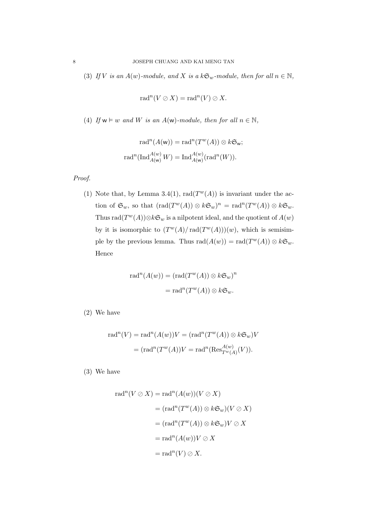(3) If V is an  $A(w)$ -module, and X is a  $k\mathfrak{S}_w$ -module, then for all  $n \in \mathbb{N}$ ,

$$
\mathrm{rad}^n(V \oslash X) = \mathrm{rad}^n(V) \oslash X.
$$

(4) If  $w \models w$  and W is an  $A(w)$ -module, then for all  $n \in \mathbb{N}$ ,

$$
rad^{n}(A(w)) = rad^{n}(T^{w}(A)) \otimes k\mathfrak{S}_{w};
$$

$$
rad^{n}(Ind_{A(w)}^{A(w)}W) = Ind_{A(w)}^{A(w)}(rad^{n}(W)).
$$

Proof.

(1) Note that, by Lemma 3.4(1), rad $(T^w(A))$  is invariant under the action of  $\mathfrak{S}_w$ , so that  $(\text{rad}(T^w(A)) \otimes k\mathfrak{S}_w)^n = \text{rad}^n(T^w(A)) \otimes k\mathfrak{S}_w$ . Thus  $\text{rad}(T^w(A)) \otimes k\mathfrak{S}_w$  is a nilpotent ideal, and the quotient of  $A(w)$ by it is isomorphic to  $(T^w(A)/\text{rad}(T^w(A)))(w)$ , which is semisimple by the previous lemma. Thus  $rad(A(w)) = rad(T^w(A)) \otimes k\mathfrak{S}_w$ . Hence

$$
rad^{n}(A(w)) = (rad(T^{w}(A)) \otimes k\mathfrak{S}_{w})^{n}
$$

$$
= rad^{n}(T^{w}(A)) \otimes k\mathfrak{S}_{w}.
$$

(2) We have

$$
rad^{n}(V) = rad^{n}(A(w))V = (rad^{n}(T^{w}(A)) \otimes k\mathfrak{S}_{w})V
$$

$$
= (rad^{n}(T^{w}(A))V = rad^{n}(Res_{T^{w}(A)}^{A(w)}(V)).
$$

(3) We have

$$
rad^{n}(V \oslash X) = rad^{n}(A(w))(V \oslash X)
$$
  
=  $(rad^{n}(T^{w}(A)) \otimes k\mathfrak{S}_{w})(V \oslash X)$   
=  $(rad^{n}(T^{w}(A)) \otimes k\mathfrak{S}_{w})V \oslash X$   
=  $rad^{n}(A(w))V \oslash X$   
=  $rad^{n}(V) \oslash X$ .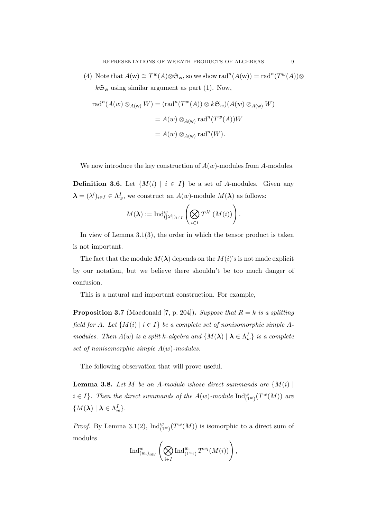(4) Note that  $A(\mathsf{w}) \cong T^w(A) \otimes \mathfrak{S}_{\mathsf{w}}$ , so we show  $\text{rad}^n(A(\mathsf{w})) = \text{rad}^n(T^w(A)) \otimes$  $k\mathfrak{S}_w$  using similar argument as part (1). Now,

$$
rad^{n}(A(w) \otimes_{A(w)} W) = (rad^{n}(T^{w}(A)) \otimes k\mathfrak{S}_{w})(A(w) \otimes_{A(w)} W)
$$

$$
= A(w) \otimes_{A(w)} rad^{n}(T^{w}(A))W
$$

$$
= A(w) \otimes_{A(w)} rad^{n}(W).
$$

We now introduce the key construction of  $A(w)$ -modules from A-modules.

**Definition 3.6.** Let  $\{M(i) | i \in I\}$  be a set of A-modules. Given any  $\boldsymbol{\lambda} = (\lambda^i)_{i \in I} \in \Lambda_w^I$ , we construct an  $A(w)$ -module  $M(\boldsymbol{\lambda})$  as follows:

$$
M(\boldsymbol{\lambda}):=\operatorname{Ind}_{\left(\left[\lambda^{i}\right]\right)_{i\in I}}^{w}\left(\bigotimes_{i\in I}T^{\lambda^{i}}\left(M(i)\right)\right).
$$

In view of Lemma 3.1(3), the order in which the tensor product is taken is not important.

The fact that the module  $M(\lambda)$  depends on the  $M(i)$ 's is not made explicit by our notation, but we believe there shouldn't be too much danger of confusion.

This is a natural and important construction. For example,

**Proposition 3.7** (Macdonald [7, p. 204]). Suppose that  $R = k$  is a splitting field for A. Let  $\{M(i) \mid i \in I\}$  be a complete set of nonisomorphic simple Amodules. Then  $A(w)$  is a split k-algebra and  $\{M(\lambda) \mid \lambda \in \Lambda_w^I\}$  is a complete set of nonisomorphic simple  $A(w)$ -modules.

The following observation that will prove useful.

**Lemma 3.8.** Let M be an A-module whose direct summands are  $\{M(i) \mid$  $i \in I$ . Then the direct summands of the  $A(w)$ -module  $\text{Ind}_{(1^w)}^w(T^w(M))$  are  $\{M(\boldsymbol{\lambda}) \mid \boldsymbol{\lambda} \in \Lambda_w^I\}.$ 

*Proof.* By Lemma 3.1(2),  $\text{Ind}_{(1^w)}^w(T^w(M))$  is isomorphic to a direct sum of modules

$$
\operatorname{Ind}_{(w_i)_{i \in I}}^w \left( \bigotimes_{i \in I} \operatorname{Ind}_{(1^{w_i})}^{w_i} T^{w_i}(M(i)) \right),
$$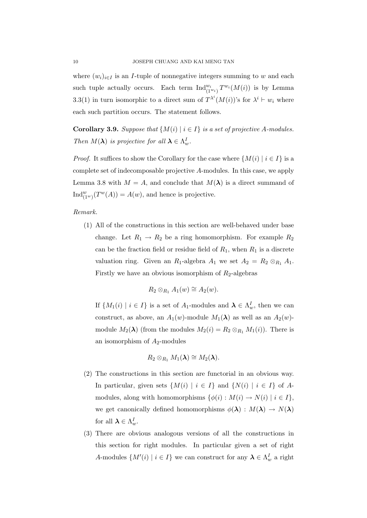where  $(w_i)_{i \in I}$  is an *I*-tuple of nonnegative integers summing to w and each such tuple actually occurs. Each term  $\text{Ind}_{(1^{w_i})}^{w_i} T^{w_i}(M(i))$  is by Lemma 3.3(1) in turn isomorphic to a direct sum of  $T^{\lambda^i}(M(i))$ 's for  $\lambda^i \vdash w_i$  where each such partition occurs. The statement follows.

**Corollary 3.9.** Suppose that  $\{M(i) | i \in I\}$  is a set of projective A-modules. Then  $M(\lambda)$  is projective for all  $\lambda \in \Lambda_w^I$ .

*Proof.* It suffices to show the Corollary for the case where  $\{M(i) | i \in I\}$  is a complete set of indecomposable projective A-modules. In this case, we apply Lemma 3.8 with  $M = A$ , and conclude that  $M(\lambda)$  is a direct summand of  $\text{Ind}_{(1^w)}^w(T^w(A)) = A(w)$ , and hence is projective.

#### Remark.

(1) All of the constructions in this section are well-behaved under base change. Let  $R_1 \rightarrow R_2$  be a ring homomorphism. For example  $R_2$ can be the fraction field or residue field of  $R_1$ , when  $R_1$  is a discrete valuation ring. Given an  $R_1$ -algebra  $A_1$  we set  $A_2 = R_2 \otimes_{R_1} A_1$ . Firstly we have an obvious isomorphism of  $R_2$ -algebras

$$
R_2 \otimes_{R_1} A_1(w) \cong A_2(w).
$$

If  $\{M_1(i) \mid i \in I\}$  is a set of  $A_1$ -modules and  $\boldsymbol{\lambda} \in \Lambda_w^I$ , then we can construct, as above, an  $A_1(w)$ -module  $M_1(\lambda)$  as well as an  $A_2(w)$ module  $M_2(\lambda)$  (from the modules  $M_2(i) = R_2 \otimes_{R_1} M_1(i)$ ). There is an isomorphism of  $A_2$ -modules

$$
R_2\otimes_{R_1} M_1(\lambda)\cong M_2(\lambda).
$$

- (2) The constructions in this section are functorial in an obvious way. In particular, given sets  $\{M(i) | i \in I\}$  and  $\{N(i) | i \in I\}$  of Amodules, along with homomorphisms  $\{\phi(i): M(i) \to N(i) \mid i \in I\}$ , we get canonically defined homomorphisms  $\phi(\lambda) : M(\lambda) \to N(\lambda)$ for all  $\lambda \in \Lambda_w^I$ .
- (3) There are obvious analogous versions of all the constructions in this section for right modules. In particular given a set of right A-modules  $\{M'(i) \mid i \in I\}$  we can construct for any  $\lambda \in \Lambda_w^I$  a right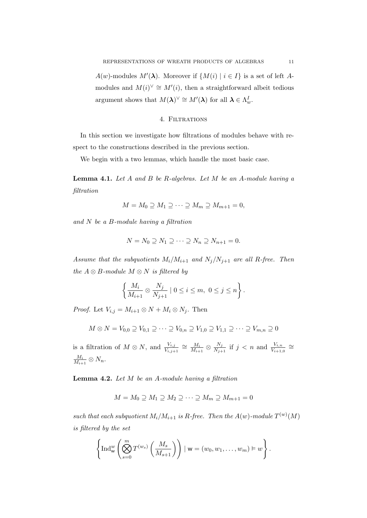$A(w)$ -modules  $M'(\lambda)$ . Moreover if  $\{M(i) | i \in I\}$  is a set of left Amodules and  $M(i)^{\vee} \cong M'(i)$ , then a straightforward albeit tedious argument shows that  $M(\lambda)^{\vee} \cong M'(\lambda)$  for all  $\lambda \in \Lambda_w^I$ .

#### 4. FILTRATIONS

In this section we investigate how filtrations of modules behave with respect to the constructions described in the previous section.

We begin with a two lemmas, which handle the most basic case.

**Lemma 4.1.** Let  $A$  and  $B$  be  $R$ -algebras. Let  $M$  be an  $A$ -module having a filtration

$$
M = M_0 \supseteq M_1 \supseteq \cdots \supseteq M_m \supseteq M_{m+1} = 0,
$$

and N be a B-module having a filtration

$$
N = N_0 \supseteq N_1 \supseteq \cdots \supseteq N_n \supseteq N_{n+1} = 0.
$$

Assume that the subquotients  $M_i/M_{i+1}$  and  $N_j/N_{j+1}$  are all R-free. Then the  $A \otimes B$ -module  $M \otimes N$  is filtered by

$$
\left\{\frac{M_i}{M_{i+1}}\otimes\frac{N_j}{N_{j+1}}\mid 0\leq i\leq m,\ 0\leq j\leq n\right\}.
$$

*Proof.* Let  $V_{i,j} = M_{i+1} \otimes N + M_i \otimes N_j$ . Then

$$
M \otimes N = V_{0,0} \supseteq V_{0,1} \supseteq \cdots \supseteq V_{0,n} \supseteq V_{1,0} \supseteq V_{1,1} \supseteq \cdots \supseteq V_{m,n} \supseteq 0
$$

is a filtration of  $M \otimes N$ , and  $\frac{V_{i,j}}{V_{i,j+1}} \cong \frac{M_i}{M_{i+1}}$  $\frac{M_i}{M_{i+1}} \otimes \frac{N_j}{N_{j+1}}$  $\frac{N_j}{N_{j+1}}$  if  $j < n$  and  $\frac{V_{i,n}}{V_{i+1,0}} \cong$  $M_i$  $\frac{M_i}{M_{i+1}} \otimes N_n$ .

**Lemma 4.2.** Let  $M$  be an  $A$ -module having a filtration

$$
M = M_0 \supseteq M_1 \supseteq M_2 \supseteq \cdots \supseteq M_m \supseteq M_{m+1} = 0
$$

such that each subquotient  $M_i/M_{i+1}$  is R-free. Then the  $A(w)$ -module  $T^{(w)}(M)$ is filtered by the set

$$
\left\{\text{Ind}_{\mathsf{w}}^w\left(\bigotimes_{s=0}^m T^{(w_s)}\left(\frac{M_s}{M_{s+1}}\right)\right) \mid \mathsf{w}=(w_0,w_1,\ldots,w_m)\vDash w\right\}.
$$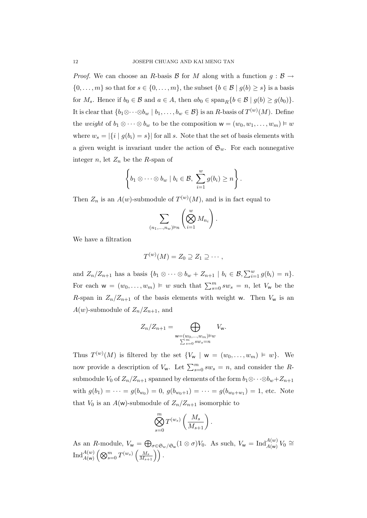*Proof.* We can choose an R-basis B for M along with a function  $q : \mathcal{B} \to$  $\{0,\ldots,m\}$  so that for  $s \in \{0,\ldots,m\}$ , the subset  $\{b \in \mathcal{B} \mid g(b) \geq s\}$  is a basis for  $M_s$ . Hence if  $b_0 \in \mathcal{B}$  and  $a \in A$ , then  $ab_0 \in \text{span}_R\{b \in \mathcal{B} \mid g(b) \geq g(b_0)\}.$ It is clear that  $\{b_1 \otimes \cdots \otimes b_w \mid b_1, \ldots, b_w \in \mathcal{B}\}$  is an R-basis of  $T^{(w)}(M)$ . Define the weight of  $b_1 \otimes \cdots \otimes b_w$  to be the composition  $w = (w_0, w_1, \ldots, w_m) \vDash w$ where  $w_s = |\{i \mid g(b_i) = s\}|$  for all s. Note that the set of basis elements with a given weight is invariant under the action of  $\mathfrak{S}_w$ . For each nonnegative integer n, let  $Z_n$  be the R-span of

$$
\left\{b_1\otimes\cdots\otimes b_w\mid b_i\in\mathcal{B},\ \sum_{i=1}^wg(b_i)\geq n\right\}.
$$

Then  $Z_n$  is an  $A(w)$ -submodule of  $T^{(w)}(M)$ , and is in fact equal to

$$
\sum_{(n_1,\ldots,n_w)\vdash n}\left(\bigotimes_{i=1}^w M_{n_i}\right).
$$

We have a filtration

$$
T^{(w)}(M)=Z_0\supseteq Z_1\supseteq\cdots,
$$

and  $Z_n/Z_{n+1}$  has a basis  $\{b_1 \otimes \cdots \otimes b_w + Z_{n+1} \mid b_i \in \mathcal{B}, \sum_{i=1}^w g(b_i) = n\}.$ For each  $w = (w_0, \ldots, w_m) \models w$  such that  $\sum_{s=0}^m sw_s = n$ , let  $V_w$  be the R-span in  $Z_n/Z_{n+1}$  of the basis elements with weight w. Then  $V_w$  is an  $A(w)$ -submodule of  $Z_n/Z_{n+1}$ , and

$$
Z_n/Z_{n+1} = \bigoplus_{\substack{\mathbf{w}=(w_0,\ldots,w_m)\vDash w\\ \sum_{s=0}^m sw_s = n}} V_{\mathbf{w}}.
$$

Thus  $T^{(w)}(M)$  is filtered by the set  $\{V_w \mid w = (w_0, \ldots, w_m) \models w\}$ . We now provide a description of  $V_w$ . Let  $\sum_{s=0}^{m} sw_s = n$ , and consider the Rsubmodule  $V_0$  of  $Z_n/Z_{n+1}$  spanned by elements of the form  $b_1 \otimes \cdots \otimes b_w + Z_{n+1}$ with  $g(b_1) = \cdots = g(b_{w_0}) = 0$ ,  $g(b_{w_0+1}) = \cdots = g(b_{w_0+w_1}) = 1$ , etc. Note that  $V_0$  is an  $A(w)$ -submodule of  $Z_n/Z_{n+1}$  isomorphic to

$$
\bigotimes_{s=0}^m T^{(w_s)}\left(\frac{M_s}{M_{s+1}}\right).
$$

As an R-module,  $V_w = \bigoplus_{\sigma \in \mathfrak{S}_w/\mathfrak{S}_w} (1 \otimes \sigma) V_0$ . As such,  $V_w = \text{Ind}_{A(w)}^{A(w)} V_0 \cong$  $\operatorname{Ind}_{A({\sf w})}^{A({w})} \left( \bigotimes_{s=0}^m T^{(w_s)} \left( \tfrac{M_s}{M_{s+1}} \right) \right).$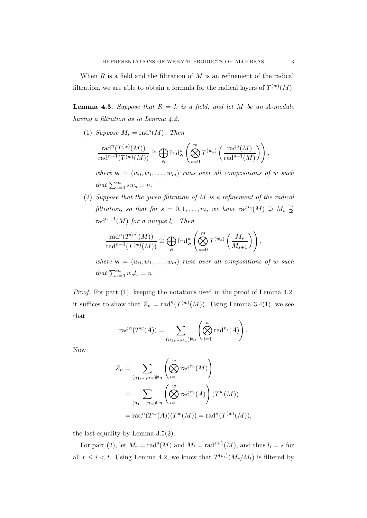When  $R$  is a field and the filtration of  $M$  is an refinement of the radical filtration, we are able to obtain a formula for the radical layers of  $T^{(w)}(M)$ .

**Lemma 4.3.** Suppose that  $R = k$  is a field, and let M be an A-module having a filtration as in Lemma 4.2.

(1) Suppose  $M_s = \text{rad}^s(M)$ . Then

$$
\frac{\mathrm{rad}^n(T^{(w)}(M))}{\mathrm{rad}^{n+1}(T^{(w)}(M))} \cong \bigoplus_{\mathsf{w}} \mathrm{Ind}_{\mathsf{w}}^w\left(\bigotimes_{s=0}^m T^{(w_s)}\left(\frac{\mathrm{rad}^s(M)}{\mathrm{rad}^{s+1}(M)}\right)\right),
$$

where  $w = (w_0, w_1, \ldots, w_m)$  runs over all compositions of w such that  $\sum_{s=0}^{m} sw_s = n$ .

(2) Suppose that the given filtration of M is a refinement of the radical filtration, so that for  $s = 0, 1, ..., m$ , we have rad<sup>l<sub>s</sub></sup> $(M) \supseteq M_s \supsetneq$ rad<sup>l<sub>s</sub>+1</sup>(*M*) for a unique  $l_s$ . Then

$$
\frac{\mathrm{rad}^n(T^{(w)}(M))}{\mathrm{rad}^{n+1}(T^{(w)}(M))} \cong \bigoplus_{\mathsf{w}} \mathrm{Ind}_{\mathsf{w}}^w\left(\bigotimes_{s=0}^m T^{(w_s)}\left(\frac{M_s}{M_{s+1}}\right)\right),
$$

where  $w = (w_0, w_1, \ldots, w_m)$  runs over all compositions of w such that  $\sum_{s=0}^{m} w_s l_s = n$ .

Proof. For part (1), keeping the notations used in the proof of Lemma 4.2, it suffices to show that  $Z_n = \text{rad}^n(T^{(w)}(M))$ . Using Lemma 3.4(1), we see that

$$
\mathrm{rad}^n(T^w(A)) = \sum_{(n_1,\ldots,n_w)\models n} \left(\bigotimes_{i=1}^w \mathrm{rad}^{n_i}(A)\right).
$$

Now

$$
Z_n = \sum_{(n_1,\ldots,n_w)\models n} \left( \bigotimes_{i=1}^w \text{rad}^{n_i}(M) \right)
$$
  
= 
$$
\sum_{(n_1,\ldots,n_w)\models n} \left( \bigotimes_{i=1}^w \text{rad}^{n_i}(A) \right) (T^w(M))
$$
  
= 
$$
\text{rad}^n(T^w(A))(T^w(M)) = \text{rad}^n(T^{(w)}(M)),
$$

the last equality by Lemma 3.5(2).

For part (2), let  $M_r = \text{rad}^s(M)$  and  $M_t = \text{rad}^{s+1}(M)$ , and thus  $l_i = s$  for all  $r \leq i < t$ . Using Lemma 4.2, we know that  $T^{(v_s)}(M_r/M_t)$  is filtered by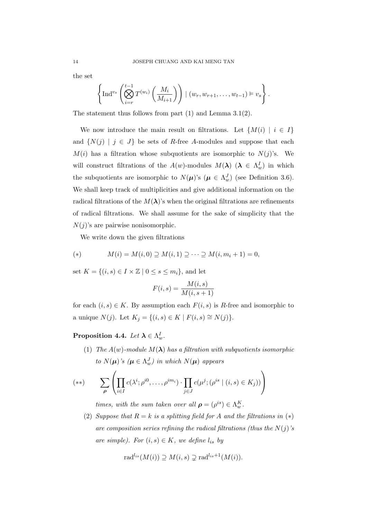the set

$$
\left\{\operatorname{Ind}^{v_s}\left(\bigotimes_{i=r}^{t-1}T^{(w_i)}\left(\frac{M_i}{M_{i+1}}\right)\right) \mid (w_r, w_{r+1}, \ldots, w_{t-1}) \models v_s\right\}.
$$

The statement thus follows from part (1) and Lemma 3.1(2).

We now introduce the main result on filtrations. Let  $\{M(i) | i \in I\}$ and  $\{N(j) \mid j \in J\}$  be sets of R-free A-modules and suppose that each  $M(i)$  has a filtration whose subquotients are isomorphic to  $N(j)$ 's. We will construct filtrations of the  $A(w)$ -modules  $M(\lambda)$   $(\lambda \in \Lambda_w^I)$  in which the subquotients are isomorphic to  $N(\mu)$ 's  $(\mu \in \Lambda_w^J)$  (see Definition 3.6). We shall keep track of multiplicities and give additional information on the radical filtrations of the  $M(\lambda)$ 's when the original filtrations are refinements of radical filtrations. We shall assume for the sake of simplicity that the  $N(j)$ 's are pairwise nonisomorphic.

We write down the given filtrations

(\*) 
$$
M(i) = M(i, 0) \supseteq M(i, 1) \supseteq \cdots \supseteq M(i, m_i + 1) = 0,
$$

set  $K = \{(i, s) \in I \times \mathbb{Z} \mid 0 \leq s \leq m_i\}$ , and let

$$
F(i,s) = \frac{M(i,s)}{M(i,s+1)}
$$

for each  $(i, s) \in K$ . By assumption each  $F(i, s)$  is R-free and isomorphic to a unique  $N(j)$ . Let  $K_j = \{(i, s) \in K \mid F(i, s) \cong N(j)\}.$ 

Proposition 4.4. Let  $\boldsymbol{\lambda} \in \Lambda_w^I$ .

(1) The  $A(w)$ -module  $M(\lambda)$  has a filtration with subquotients isomorphic to  $N(\boldsymbol{\mu})$ 's  $(\boldsymbol{\mu} \in \Lambda_w^J)$  in which  $N(\boldsymbol{\mu})$  appears

$$
(**) \qquad \sum_{\rho} \left( \prod_{i \in I} c(\lambda^i; \rho^{i0}, \dots, \rho^{im_i}) \cdot \prod_{j \in J} c(\mu^j; (\rho^{is} \mid (i, s) \in K_j)) \right)
$$

times, with the sum taken over all  $\rho = (\rho^{is}) \in \Lambda_w^K$ .

(2) Suppose that  $R = k$  is a splitting field for A and the filtrations in  $(*)$ are composition series refining the radical filtrations (thus the  $N(j)$ 's are simple). For  $(i, s) \in K$ , we define  $l_{is}$  by

$$
\mathrm{rad}^{l_{is}}(M(i))\supseteq M(i,s)\supsetneq \mathrm{rad}^{l_{is}+1}(M(i)).
$$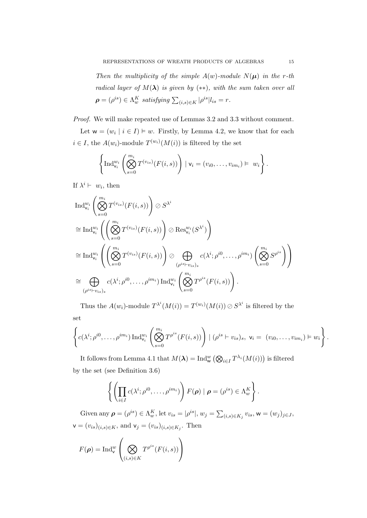Then the multiplicity of the simple  $A(w)$ -module  $N(\mu)$  in the r-th radical layer of  $M(\lambda)$  is given by (\*\*), with the sum taken over all  $\rho = (\rho^{is}) \in \Lambda_w^K$  satisfying  $\sum_{(i,s) \in K} |\rho^{is}| l_{is} = r$ .

Proof. We will make repeated use of Lemmas 3.2 and 3.3 without comment.

Let  $w = (w_i \mid i \in I) \models w$ . Firstly, by Lemma 4.2, we know that for each  $i \in I$ , the  $A(w_i)$ -module  $T^{(w_i)}(M(i))$  is filtered by the set

$$
\left\{\operatorname{Ind}_{\mathsf{v}_i}^{w_i}\left(\bigotimes_{s=0}^{m_i} T^{(v_{is})}(F(i,s))\right) \mid \mathsf{v}_i=(v_{i0},\ldots,v_{im_i})\models w_i\right\}.
$$

If  $\lambda^i \vdash w_i$ , then

$$
\operatorname{Ind}_{\mathsf{v}_i}^{w_i} \left( \bigotimes_{s=0}^{m_i} T^{(v_{is})}(F(i,s)) \right) \oslash S^{\lambda^i}
$$
\n
$$
\cong \operatorname{Ind}_{\mathsf{v}_i}^{w_i} \left( \left( \bigotimes_{s=0}^{m_i} T^{(v_{is})}(F(i,s)) \right) \oslash \operatorname{Res}_{\mathsf{v}_i}^{w_i}(S^{\lambda^i}) \right)
$$
\n
$$
\cong \operatorname{Ind}_{\mathsf{v}_i}^{w_i} \left( \left( \bigotimes_{s=0}^{m_i} T^{(v_{is})}(F(i,s)) \right) \oslash \bigoplus_{(\rho^{is} \vdash v_{is})_s} c(\lambda^i; \rho^{i0}, \dots, \rho^{im_i}) \left( \bigotimes_{s=0}^{m_i} S^{\rho^{is}} \right) \right)
$$
\n
$$
\cong \bigoplus_{(\rho^{is} \vdash v_{is})_s} c(\lambda^i; \rho^{i0}, \dots, \rho^{im_i}) \operatorname{Ind}_{\mathsf{v}_i}^{w_i} \left( \bigotimes_{s=0}^{m_i} T^{\rho^{is}}(F(i,s)) \right).
$$

Thus the  $A(w_i)$ -module  $T^{\lambda^i}(M(i)) = T^{(w_i)}(M(i)) \oslash S^{\lambda^i}$  is filtered by the set

$$
\left\{c(\lambda^i; \rho^{i0}, \dots, \rho^{im_i}) \operatorname{Ind}_{\mathsf{v}_i}^{w_i} \left( \bigotimes_{s=0}^{m_i} T^{\rho^{is}}(F(i,s)) \right) \mid (\rho^{is} \vdash v_{is})_s, \mathsf{v}_i = (v_{i0}, \dots, v_{im_i}) \vDash w_i \right\}.
$$

It follows from Lemma 4.1 that  $M(\lambda) = \text{Ind}_{\mathsf{w}}^w (\bigotimes_{i \in I} T^{\lambda_i}(M(i)))$  is filtered by the set (see Definition 3.6)

$$
\left\{ \left( \prod_{i \in I} c(\lambda^i; \rho^{i0}, \dots, \rho^{im_i}) \right) F(\boldsymbol{\rho}) \mid \boldsymbol{\rho} = (\rho^{is}) \in \Lambda_w^K \right\}.
$$

Given any  $\boldsymbol{\rho}=(\rho^{is})\in \Lambda_w^K$ , let  $v_{is}=|\rho^{is}|$ ,  $w_j=\sum_{(i,s)\in K_j}v_{is}$ ,  $w=(w_j)_{j\in J}$ ,  $\mathsf{v}=(v_{is})_{(i,s)\in K}$ , and  $\mathsf{v}_j=(v_{is})_{(i,s)\in K_j}$ . Then

$$
F(\boldsymbol{\rho}) = \text{Ind}_{\mathsf{v}}^w \left( \bigotimes_{(i,s) \in K} T^{\rho^{is}}(F(i,s)) \right)
$$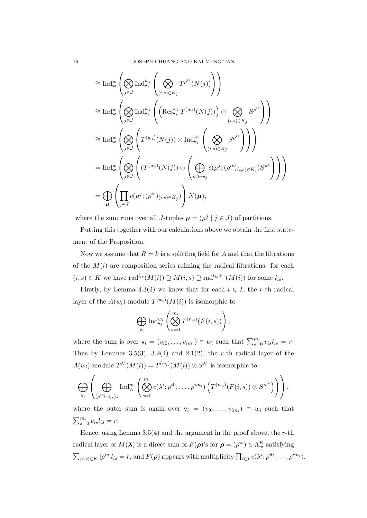$$
\cong \text{Ind}_{\mathsf{w}}^{w} \left( \bigotimes_{j \in J} \text{Ind}_{\mathsf{v}_{j}}^{w_{j}} \left( \bigotimes_{(i,s) \in K_{j}} T^{\rho^{is}}(N(j)) \right) \right)
$$
\n
$$
\cong \text{Ind}_{\mathsf{w}}^{w} \left( \bigotimes_{j \in J} \text{Ind}_{\mathsf{v}_{j}}^{w_{j}} \left( \left( \text{Res}_{\mathsf{v}_{j}}^{w_{j}} T^{(w_{j})}(N(j)) \right) \otimes \bigotimes_{(i,s) \in K_{j}} S^{\rho^{is}} \right) \right)
$$
\n
$$
\cong \text{Ind}_{\mathsf{w}}^{w} \left( \bigotimes_{j \in J} \left( T^{(w_{j})}(N(j)) \otimes \text{Ind}_{\mathsf{v}_{j}}^{w_{j}} \left( \bigotimes_{(i,s) \in K_{j}} S^{\rho^{is}} \right) \right) \right)
$$
\n
$$
= \text{Ind}_{\mathsf{w}}^{w} \left( \bigotimes_{j \in J} \left( (T^{(w_{j})}(N(j)) \otimes \left( \bigoplus_{\mu^{j} \vdash w_{j}} c(\mu^{j}; (\rho^{is})_{(i,s) \in K_{j}}) S^{\mu^{j}} \right) \right) \right)
$$
\n
$$
= \bigoplus_{\mu} \left( \prod_{j \in J} c(\mu^{j}; (\rho^{is})_{(i,s) \in K_{j}}) \right) N(\mu),
$$

where the sum runs over all J-tuples  $\mu = (\mu^j | j \in J)$  of partitions.

Putting this together with our calculations above we obtain the first statement of the Proposition.

Now we assume that  $R = k$  is a splitting field for A and that the filtrations of the  $M(i)$  are composition series refining the radical filtrations: for each  $(i, s) \in K$  we have rad<sup>l<sub>is</sub></sup> $(M(i)) \supseteq M(i, s) \supsetneq \text{rad}^{l_{is}+1}(M(i))$  for some  $l_{is}$ .

Firstly, by Lemma 4.3(2) we know that for each  $i \in I$ , the r-th radical layer of the  $A(w_i)$ -module  $T^{(w_i)}(M(i))$  is isomorphic to

$$
\bigoplus_{\mathsf{v}_i} \mathrm{Ind}_{\mathsf{v}_i}^{w_i}\left(\bigotimes_{s=0}^{m_i} T^{(v_{is})}(F(i,s))\right),\,
$$

where the sum is over  $v_i = (v_{i0}, \dots, v_{im_i}) \models w_i$  such that  $\sum_{s=0}^{m_i} v_{is} l_{is} = r$ . Thus by Lemmas 3.5(3), 3.2(4) and 2.1(2), the r-th radical layer of the  $A(w_i)$ -module  $T^{\lambda^i}(M(i)) = T^{(w_i)}(M(i)) \oslash S^{\lambda^i}$  is isomorphic to

$$
\bigoplus_{\mathsf{v}_i}\left(\bigoplus_{(\rho^{is} \vdash v_{is})_s} \mathrm{Ind}_{\mathsf{v}_i}^{w_i}\left(\bigotimes_{s=0}^{m_i} c(\lambda^i; \rho^{i0}, \ldots, \rho^{im_i})\left(T^{(v_{is})}(F(i,s)) \oslash S^{\rho^{is}}\right)\right)\right),
$$

where the outer sum is again over  $v_i = (v_{i0}, \dots, v_{im_i}) \models w_i$  such that  $\sum_{s=0}^{m_i} v_{is} l_{is} = r.$ 

Hence, using Lemma  $3.5(4)$  and the argument in the proof above, the r-th radical layer of  $M(\lambda)$  is a direct sum of  $F(\rho)$ 's for  $\rho = (\rho^{is}) \in \Lambda_w^K$  satisfying  $\sum_{(i,s)\in K} |\rho^{is}| l_{is} = r$ , and  $F(\boldsymbol{\rho})$  appears with multiplicity  $\prod_{i\in I} c(\lambda^i; \rho^{i0}, \dots, \rho^{im_i}).$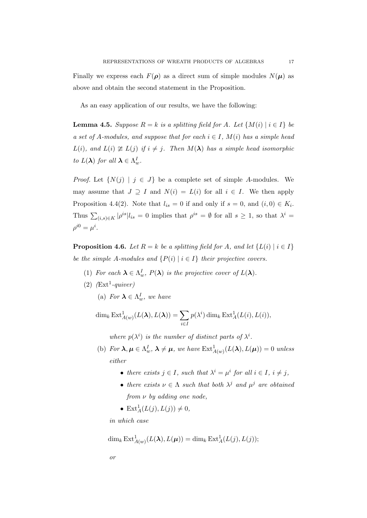Finally we express each  $F(\rho)$  as a direct sum of simple modules  $N(\mu)$  as above and obtain the second statement in the Proposition.

As an easy application of our results, we have the following:

**Lemma 4.5.** Suppose  $R = k$  is a splitting field for A. Let  $\{M(i) | i \in I\}$  be a set of A-modules, and suppose that for each  $i \in I$ ,  $M(i)$  has a simple head  $L(i)$ , and  $L(i) \not\cong L(j)$  if  $i \neq j$ . Then  $M(\lambda)$  has a simple head isomorphic to  $L(\lambda)$  for all  $\lambda \in \Lambda_w^I$ .

*Proof.* Let  $\{N(j) | j \in J\}$  be a complete set of simple A-modules. We may assume that  $J \supseteq I$  and  $N(i) = L(i)$  for all  $i \in I$ . We then apply Proposition 4.4(2). Note that  $l_{is} = 0$  if and only if  $s = 0$ , and  $(i, 0) \in K_i$ . Thus  $\sum_{(i,s)\in K} |\rho^{is}| l_{is} = 0$  implies that  $\rho^{is} = \emptyset$  for all  $s \geq 1$ , so that  $\lambda^i =$  $\rho^{i0} = \mu^i$ .

**Proposition 4.6.** Let  $R = k$  be a splitting field for A, and let  $\{L(i) | i \in I\}$ be the simple A-modules and  $\{P(i) | i \in I\}$  their projective covers.

- (1) For each  $\lambda \in \Lambda_w^I$ ,  $P(\lambda)$  is the projective cover of  $L(\lambda)$ .
- $(2)$   $(Ext<sup>1</sup>-quiver)$ 
	- (a) For  $\lambda \in \Lambda_w^I$ , we have

 $\dim_k \operatorname{Ext}^1_{A(w)}(L(\boldsymbol{\lambda}),L(\boldsymbol{\lambda})) = \sum$ i∈I  $p(\lambda^i) \dim_k \text{Ext}^1_A(L(i), L(i)),$ 

where  $p(\lambda^i)$  is the number of distinct parts of  $\lambda^i$ .

- (b) For  $\lambda, \mu \in \Lambda_w^I$ ,  $\lambda \neq \mu$ , we have  $\text{Ext}^1_{A(w)}(L(\lambda), L(\mu)) = 0$  unless either
	- there exists  $j \in I$ , such that  $\lambda^i = \mu^i$  for all  $i \in I$ ,  $i \neq j$ ,
	- there exists  $\nu \in \Lambda$  such that both  $\lambda^j$  and  $\mu^j$  are obtained from  $\nu$  by adding one node,
	- $\mathrm{Ext}^1_A(L(j),L(j)) \neq 0,$

in which case

$$
\dim_k \operatorname{Ext}^1_{A(w)}(L(\lambda), L(\mu)) = \dim_k \operatorname{Ext}^1_A(L(j), L(j));
$$

or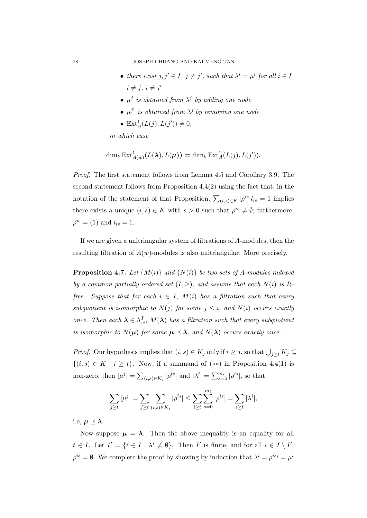- there exist  $j, j' \in I, j \neq j'$ , such that  $\lambda^i = \mu^i$  for all  $i \in I$ ,  $i \neq j, i \neq j'$
- $\mu^j$  is obtained from  $\lambda^j$  by adding one node
- $\mu^{j'}$  is obtained from  $\lambda^{j'}$  by removing one node
- $\mathrm{Ext}^1_A(L(j),L(j')) \neq 0,$

in which case

$$
\dim_k \operatorname{Ext}^1_{A(w)}(L(\lambda), L(\mu)) = \dim_k \operatorname{Ext}^1_A(L(j), L(j')).
$$

Proof. The first statement follows from Lemma 4.5 and Corollary 3.9. The second statement follows from Proposition 4.4(2) using the fact that, in the notation of the statement of that Proposition,  $\sum_{(i,s)\in K} |\rho^{is}| l_{is} = 1$  implies there exists a unique  $(i, s) \in K$  with  $s > 0$  such that  $\rho^{is} \neq \emptyset$ ; furthermore,  $\rho^{is} = (1)$  and  $l_{is} = 1$ .

If we are given a unitriangular system of filtrations of A-modules, then the resulting filtration of  $A(w)$ -modules is also unitriangular. More precisely,

**Proposition 4.7.** Let  $\{M(i)\}\$ and  $\{N(i)\}\$ be two sets of A-modules indexed by a common partially ordered set  $(I, \geq)$ , and assume that each  $N(i)$  is Rfree. Suppose that for each  $i \in I$ ,  $M(i)$  has a filtration such that every subquotient is isomorphic to  $N(j)$  for some  $j \leq i$ , and  $N(i)$  occurs exactly once. Then each  $\lambda \in \Lambda_w^I$ ,  $M(\lambda)$  has a filtration such that every subquotient is isomorphic to  $N(\mu)$  for some  $\mu \preceq \lambda$ , and  $N(\lambda)$  occurs exactly once.

*Proof.* Our hypothesis implies that  $(i, s) \in K_j$  only if  $i \geq j$ , so that  $\bigcup_{j \geq t} K_j \subseteq$  $\{(i, s) \in K \mid i \geq t\}$ . Now, if a summand of  $(**)$  in Proposition 4.4(1) is non-zero, then  $|\mu^j| = \sum_{(i,s)\in K_j} |\rho^{is}|$  and  $|\lambda^i| = \sum_{s=0}^{m_i} |\rho^{is}|$ , so that

$$
\sum_{j\geq t} |\mu^j| = \sum_{j\geq t} \sum_{(i,s)\in K_j} |\rho^{is}| \leq \sum_{i\geq t} \sum_{s=0}^{m_t} |\rho^{is}| = \sum_{i\geq t} |\lambda^i|,
$$

i.e,  $\mu \prec \lambda$ .

Now suppose  $\mu = \lambda$ . Then the above inequality is an equality for all  $t \in I$ . Let  $I' = \{i \in I \mid \lambda^i \neq \emptyset\}$ . Then I' is finite, and for all  $i \in I \setminus I'$ ,  $\rho^{is} = \emptyset$ . We complete the proof by showing by induction that  $\lambda^i = \rho^{is_i} = \mu^i$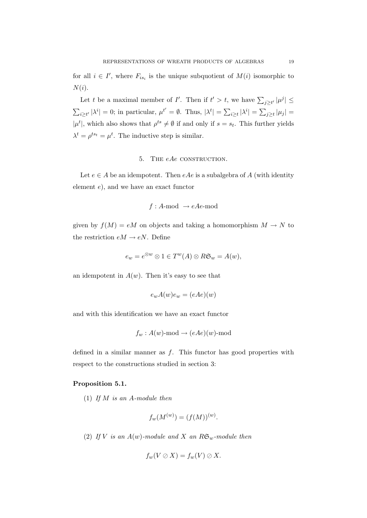for all  $i \in I'$ , where  $F_{is_i}$  is the unique subquotient of  $M(i)$  isomorphic to  $N(i)$ .

Let t be a maximal member of I'. Then if  $t' > t$ , we have  $\sum_{j \geq t'} |\mu^j| \leq$  $\sum_{i\geq t'}|\lambda^i|=0$ ; in particular,  $\mu^{t'}=\emptyset$ . Thus,  $|\lambda^t|=\sum_{i\geq t}|\lambda^i|=\sum_{j\geq t}|\mu_j|=$  $|\mu^t|$ , which also shows that  $\rho^{ts} \neq \emptyset$  if and only if  $s = s_t$ . This further yields  $\lambda^t = \rho^{ts_t} = \mu^t$ . The inductive step is similar.

#### 5. THE eAe CONSTRUCTION.

Let  $e \in A$  be an idempotent. Then  $eAe$  is a subalgebra of A (with identity element e), and we have an exact functor

$$
f : A \text{-mod} \rightarrow eAe \text{-mod}
$$

given by  $f(M) = eM$  on objects and taking a homomorphism  $M \to N$  to the restriction  $eM \to eN$ . Define

$$
e_w = e^{\otimes w} \otimes 1 \in T^w(A) \otimes R\mathfrak{S}_w = A(w),
$$

an idempotent in  $A(w)$ . Then it's easy to see that

$$
e_w A(w) e_w = (eAe)(w)
$$

and with this identification we have an exact functor

$$
f_w: A(w)
$$
-mod  $\rightarrow$   $(eAe)(w)$ -mod

defined in a similar manner as  $f$ . This functor has good properties with respect to the constructions studied in section 3:

#### Proposition 5.1.

(1) If  $M$  is an A-module then

$$
f_w(M^{(w)}) = (f(M))^{(w)}.
$$

(2) If V is an  $A(w)$ -module and X an  $R\mathfrak{S}_w$ -module then

$$
f_w(V \oslash X) = f_w(V) \oslash X.
$$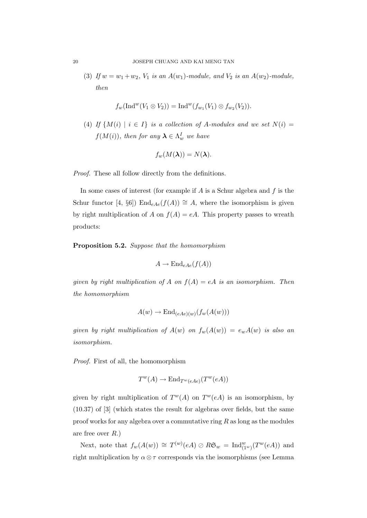(3) If  $w = w_1 + w_2$ ,  $V_1$  is an  $A(w_1)$ -module, and  $V_2$  is an  $A(w_2)$ -module, then

$$
f_w(\text{Ind}^w(V_1 \otimes V_2)) = \text{Ind}^w(f_{w_1}(V_1) \otimes f_{w_2}(V_2)).
$$

(4) If  $\{M(i) \mid i \in I\}$  is a collection of A-modules and we set  $N(i) =$  $f(M(i))$ , then for any  $\boldsymbol{\lambda} \in \Lambda_w^I$  we have

$$
f_w(M(\lambda))=N(\lambda).
$$

Proof. These all follow directly from the definitions.

In some cases of interest (for example if  $A$  is a Schur algebra and  $f$  is the Schur functor [4, §6]) End<sub>eAe</sub>( $f(A)$ ) ≅ A, where the isomorphism is given by right multiplication of A on  $f(A) = eA$ . This property passes to wreath products:

Proposition 5.2. Suppose that the homomorphism

$$
A \to \mathrm{End}_{eAe}(f(A))
$$

given by right multiplication of A on  $f(A) = eA$  is an isomorphism. Then the homomorphism

$$
A(w) \to \text{End}_{(eAe)(w)}(f_w(A(w)))
$$

given by right multiplication of  $A(w)$  on  $f_w(A(w)) = e_wA(w)$  is also an isomorphism.

Proof. First of all, the homomorphism

$$
T^w(A) \to \text{End}_{T^w(eAe)}(T^w(eA))
$$

given by right multiplication of  $T^w(A)$  on  $T^w(eA)$  is an isomorphism, by (10.37) of [3] (which states the result for algebras over fields, but the same proof works for any algebra over a commutative ring  $R$  as long as the modules are free over  $R$ .)

Next, note that  $f_w(A(w)) \cong T^{(w)}(eA) \oslash R\mathfrak{S}_w = \text{Ind}_{(1^w)}^w(T^w(eA))$  and right multiplication by  $\alpha \otimes \tau$  corresponds via the isomorphisms (see Lemma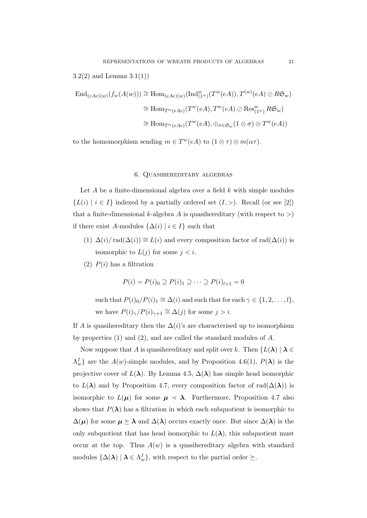3.2(2) and Lemma  $3.1(1)$ 

$$
\operatorname{End}_{(eAe)(w)}(f_w(A(w))) \cong \operatorname{Hom}_{(eAe)(w)}(\operatorname{Ind}_{(1^w)}^{w}(T^w(eA)), T^{(w)}(eA) \oslash R\mathfrak{S}_w)
$$
  
\n
$$
\cong \operatorname{Hom}_{T^w(eAe)}(T^w(eA), T^w(eA) \oslash \operatorname{Res}_{(1^w)}^{w} R\mathfrak{S}_w)
$$
  
\n
$$
\cong \operatorname{Hom}_{T^w(eAe)}(T^w(eA), \oplus_{\sigma \in \mathfrak{S}_w} (1 \otimes \sigma) \otimes T^w(eA))
$$

to the homomorphism sending  $m \in T^w(eA)$  to  $(1 \otimes \tau) \otimes m(\alpha \tau)$ .

#### 6. Quasihereditary algebras

Let  $A$  be a finite-dimensional algebra over a field  $k$  with simple modules  ${L(i) | i \in I}$  indexed by a partially ordered set  $(I,>)$ . Recall (or see [2]) that a finite-dimensional k-algebra A is quasihereditary (with respect to  $>$ ) if there exist A-modules  $\{\Delta(i) | i \in I\}$  such that

- (1)  $\Delta(i)/\text{rad}(\Delta(i)) \cong L(i)$  and every composition factor of rad $(\Delta(i))$  is isomorphic to  $L(j)$  for some  $j < i$ .
- (2)  $P(i)$  has a filtration

$$
P(i) = P(i)0 \supseteq P(i)1 \supseteq \cdots \supseteq P(i)l+1 = 0
$$

such that  $P(i)_0/P(i)_1 \cong \Delta(i)$  and such that for each  $\gamma \in \{1, 2, ..., l\}$ , we have  $P(i)_{\gamma}/P(i)_{\gamma+1} \cong \Delta(j)$  for some  $j > i$ .

If A is quasihereditary then the  $\Delta(i)$ 's are characterised up to isomorphism by properties (1) and (2), and are called the standard modules of A.

Now suppose that A is quasihereditary and split over k. Then  $\{L(\lambda) \mid \lambda \in$  $\Lambda_w^I$  are the  $A(w)$ -simple modules, and by Proposition 4.6(1),  $P(\lambda)$  is the projective cover of  $L(\lambda)$ . By Lemma 4.5,  $\Delta(\lambda)$  has simple head isomorphic to  $L(\lambda)$  and by Proposition 4.7, every composition factor of rad $(\Delta(\lambda))$  is isomorphic to  $L(\mu)$  for some  $\mu \prec \lambda$ . Furthermore, Proposition 4.7 also shows that  $P(\lambda)$  has a filtration in which each subquotient is isomorphic to  $\Delta(\mu)$  for some  $\mu \succeq \lambda$  and  $\Delta(\lambda)$  occurs exactly once. But since  $\Delta(\lambda)$  is the only subquotient that has head isomorphic to  $L(\lambda)$ , this subquotient must occur at the top. Thus  $A(w)$  is a quasihereditary algebra with standard modules  $\{\Delta(\lambda) \mid \lambda \in \Lambda_w^I\}$ , with respect to the partial order  $\succeq$ .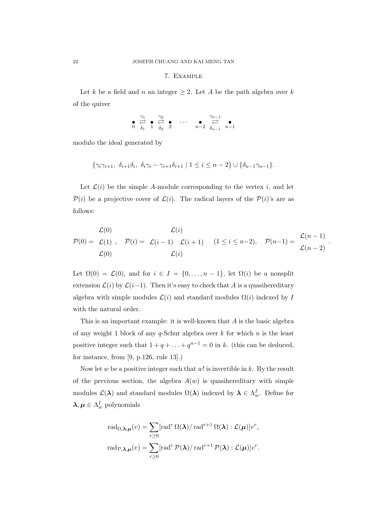#### 7. Example

Let k be a field and n an integer  $\geq 2$ . Let A be the path algebra over k of the quiver

$$
\bullet \overset{\gamma_1}{\underset{\delta_1}{\rightleftharpoons}} \bullet \overset{\gamma_2}{\underset{\delta_2}{\rightleftharpoons}} \bullet \cdots \bullet \overset{\gamma_{n-1}}{\underset{n-2}{\rightleftharpoons}} \bullet \cdots
$$

modulo the ideal generated by

$$
\{\gamma_i\gamma_{i+1}, \ \delta_{i+1}\delta_i, \ \delta_i\gamma_i-\gamma_{i+1}\delta_{i+1} \mid 1 \leq i \leq n-2\} \cup \{\delta_{n-1}\gamma_{n-1}\}.
$$

Let  $\mathcal{L}(i)$  be the simple A-module corresponding to the vertex i, and let  $P(i)$  be a projective cover of  $\mathcal{L}(i)$ . The radical layers of the  $P(i)$ 's are as follows:

$$
\mathcal{L}(0) = \mathcal{L}(1), \quad \mathcal{P}(i) = \mathcal{L}(i-1) - \mathcal{L}(i+1) \quad (1 \leq i \leq n-2), \quad \mathcal{P}(n-1) = \frac{\mathcal{L}(n-1)}{\mathcal{L}(n-2)}
$$

$$
\mathcal{L}(0) = \mathcal{L}(i) = \mathcal{L}(i)
$$

.

Let  $\Omega(0) = \mathcal{L}(0)$ , and for  $i \in I = \{0, ..., n-1\}$ , let  $\Omega(i)$  be a nonsplit extension  $\mathcal{L}(i)$  by  $\mathcal{L}(i-1)$ . Then it's easy to check that A is a quasihereditary algebra with simple modules  $\mathcal{L}(i)$  and standard modules  $\Omega(i)$  indexed by I with the natural order.

This is an important example: it is well-known that  $A$  is the basic algebra of any weight 1 block of any  $q$ -Schur algebra over k for which n is the least positive integer such that  $1 + q + \ldots + q^{n-1} = 0$  in k. (this can be deduced, for instance, from [9, p.126, rule 13].)

Now let w be a positive integer such that w! is invertible in k. By the result of the previous section, the algebra  $A(w)$  is quasihereditary with simple modules  $\mathcal{L}(\lambda)$  and standard modules  $\Omega(\lambda)$  indexed by  $\lambda \in \Lambda_w^I$ . Define for  $\boldsymbol{\lambda}, \boldsymbol{\mu} \in \Lambda_w^I$  polynomials

$$
\operatorname{rad}_{\Omega,\lambda,\mu}(v) = \sum_{r\geq 0} [\operatorname{rad}^r \Omega(\lambda) / \operatorname{rad}^{r+1} \Omega(\lambda) : \mathcal{L}(\mu)]v^r,
$$
  

$$
\operatorname{rad}_{\mathcal{P},\lambda,\mu}(v) = \sum_{r\geq 0} [\operatorname{rad}^r \mathcal{P}(\lambda) / \operatorname{rad}^{r+1} \mathcal{P}(\lambda) : \mathcal{L}(\mu)]v^r.
$$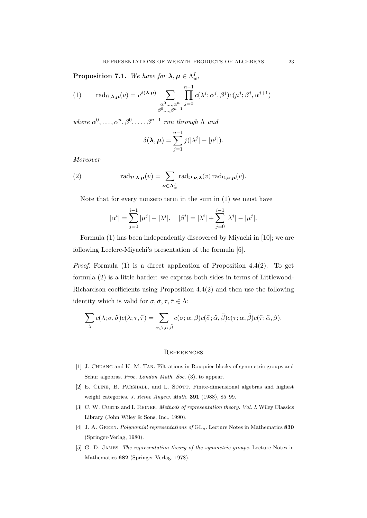**Proposition 7.1.** We have for  $\lambda, \mu \in \Lambda_w^I$ ,

(1) 
$$
\operatorname{rad}_{\Omega,\lambda,\mu}(v) = v^{\delta(\lambda,\mu)} \sum_{\substack{\alpha^0,\dots,\alpha^n\\ \beta^0,\dots,\beta^{n-1}}} \prod_{j=0}^{n-1} c(\lambda^j;\alpha^j,\beta^j)c(\mu^j;\beta^j,\alpha^{j+1})
$$

where  $\alpha^0, \ldots, \alpha^n, \beta^0, \ldots, \beta^{n-1}$  run through  $\Lambda$  and

$$
\delta(\boldsymbol{\lambda}, \boldsymbol{\mu}) = \sum_{j=1}^{n-1} j(|\lambda^{j}| - |\mu^{j}|).
$$

Moreover

(2) 
$$
\mathrm{rad}_{\mathcal{P},\boldsymbol{\lambda},\boldsymbol{\mu}}(v) = \sum_{\boldsymbol{\nu}\in\boldsymbol{\Lambda}_{w}^{I}} \mathrm{rad}_{\Omega,\boldsymbol{\nu},\boldsymbol{\lambda}}(v) \mathrm{rad}_{\Omega,\boldsymbol{\nu},\boldsymbol{\mu}}(v).
$$

Note that for every nonzero term in the sum in (1) we must have

$$
|\alpha^{i}| = \sum_{j=0}^{i-1} |\mu^{j}| - |\lambda^{j}|, \quad |\beta^{i}| = |\lambda^{i}| + \sum_{j=0}^{i-1} |\lambda^{j}| - |\mu^{j}|.
$$

Formula (1) has been independently discovered by Miyachi in [10]; we are following Leclerc-Miyachi's presentation of the formula [6].

*Proof.* Formula (1) is a direct application of Proposition 4.4(2). To get formula (2) is a little harder: we express both sides in terms of Littlewood-Richardson coefficients using Proposition 4.4(2) and then use the following identity which is valid for  $\sigma, \tilde{\sigma}, \tau, \tilde{\tau} \in \Lambda$ :

$$
\sum_{\lambda} c(\lambda; \sigma, \tilde{\sigma}) c(\lambda; \tau, \tilde{\tau}) = \sum_{\alpha, \beta, \tilde{\alpha}, \tilde{\beta}} c(\sigma; \alpha, \beta) c(\tilde{\sigma}; \tilde{\alpha}, \tilde{\beta}) c(\tau; \alpha, \tilde{\beta}) c(\tilde{\tau}; \tilde{\alpha}, \beta).
$$

#### **REFERENCES**

- [1] J. Chuang and K. M. Tan. Filtrations in Rouquier blocks of symmetric groups and Schur algebras. Proc. London Math. Soc. (3), to appear.
- [2] E. CLINE, B. PARSHALL, and L. SCOTT. Finite-dimensional algebras and highest weight categories. J. Reine Angew. Math. 391 (1988), 85–99.
- [3] C. W. CURTIS and I. REINER. Methods of representation theory. Vol. I. Wiley Classics Library (John Wiley & Sons, Inc., 1990).
- [4] J. A. GREEN. Polynomial representations of  $GL_n$ . Lecture Notes in Mathematics 830 (Springer-Verlag, 1980).
- [5] G. D. JAMES. The representation theory of the symmetric groups. Lecture Notes in Mathematics 682 (Springer-Verlag, 1978).